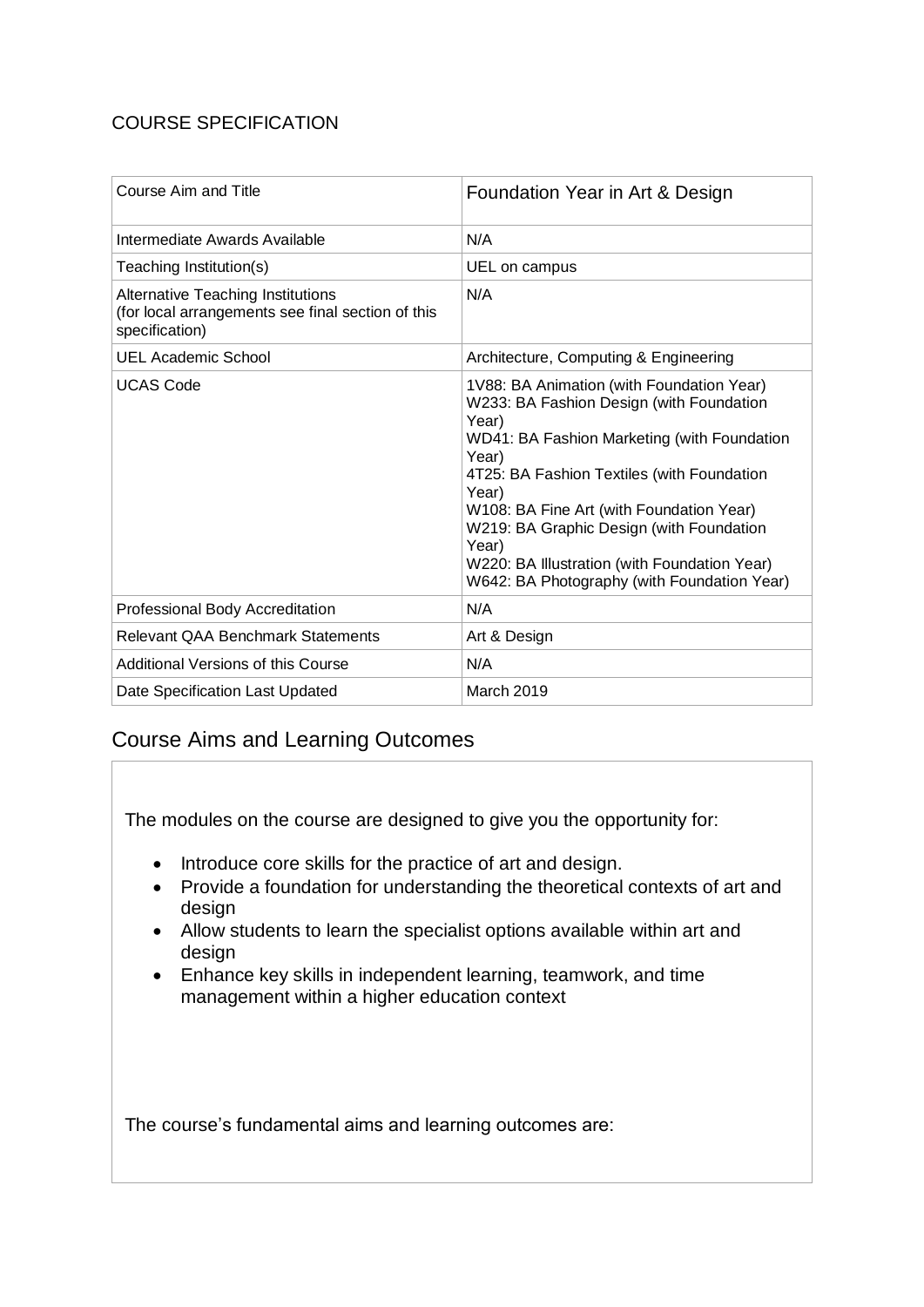## COURSE SPECIFICATION

| <b>Course Aim and Title</b>                                                                                     | Foundation Year in Art & Design                                                                                                                                                                                                                                                                                                                                                                               |
|-----------------------------------------------------------------------------------------------------------------|---------------------------------------------------------------------------------------------------------------------------------------------------------------------------------------------------------------------------------------------------------------------------------------------------------------------------------------------------------------------------------------------------------------|
| Intermediate Awards Available                                                                                   | N/A                                                                                                                                                                                                                                                                                                                                                                                                           |
| Teaching Institution(s)                                                                                         | UEL on campus                                                                                                                                                                                                                                                                                                                                                                                                 |
| <b>Alternative Teaching Institutions</b><br>(for local arrangements see final section of this<br>specification) | N/A                                                                                                                                                                                                                                                                                                                                                                                                           |
| <b>UEL Academic School</b>                                                                                      | Architecture, Computing & Engineering                                                                                                                                                                                                                                                                                                                                                                         |
| <b>UCAS Code</b>                                                                                                | 1V88: BA Animation (with Foundation Year)<br>W233: BA Fashion Design (with Foundation<br>Year)<br>WD41: BA Fashion Marketing (with Foundation<br>Year)<br>4T25: BA Fashion Textiles (with Foundation<br>Year)<br>W108: BA Fine Art (with Foundation Year)<br>W219: BA Graphic Design (with Foundation<br>Year)<br>W220: BA Illustration (with Foundation Year)<br>W642: BA Photography (with Foundation Year) |
| Professional Body Accreditation                                                                                 | N/A                                                                                                                                                                                                                                                                                                                                                                                                           |
| <b>Relevant QAA Benchmark Statements</b>                                                                        | Art & Design                                                                                                                                                                                                                                                                                                                                                                                                  |
| Additional Versions of this Course                                                                              | N/A                                                                                                                                                                                                                                                                                                                                                                                                           |
| Date Specification Last Updated                                                                                 | <b>March 2019</b>                                                                                                                                                                                                                                                                                                                                                                                             |

# Course Aims and Learning Outcomes

The modules on the course are designed to give you the opportunity for:

- Introduce core skills for the practice of art and design.
- Provide a foundation for understanding the theoretical contexts of art and design
- Allow students to learn the specialist options available within art and design
- Enhance key skills in independent learning, teamwork, and time management within a higher education context

The course's fundamental aims and learning outcomes are: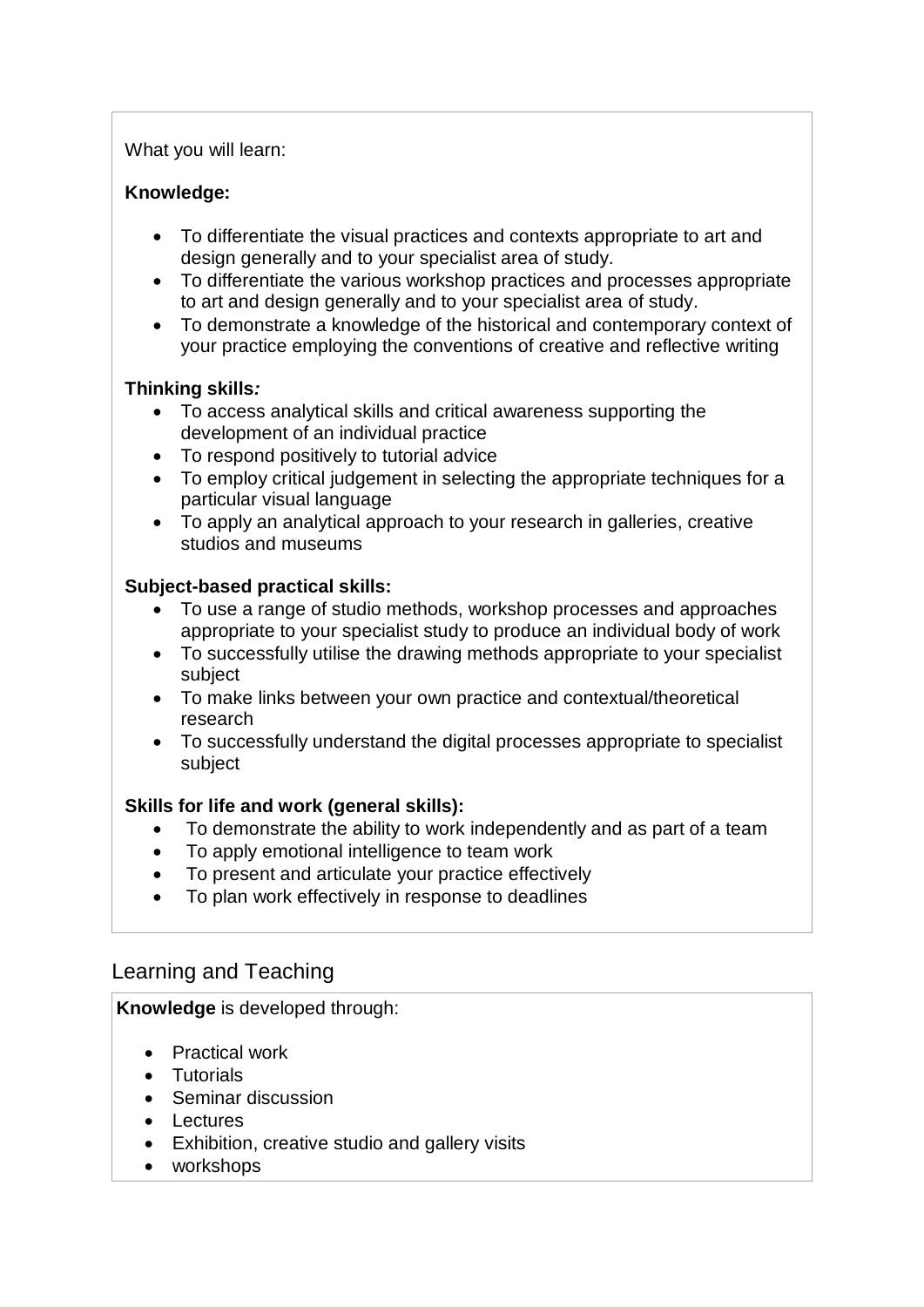## What you will learn:

## **Knowledge:**

- To differentiate the visual practices and contexts appropriate to art and design generally and to your specialist area of study.
- To differentiate the various workshop practices and processes appropriate to art and design generally and to your specialist area of study.
- To demonstrate a knowledge of the historical and contemporary context of your practice employing the conventions of creative and reflective writing

### **Thinking skills***:*

- To access analytical skills and critical awareness supporting the development of an individual practice
- To respond positively to tutorial advice
- To employ critical judgement in selecting the appropriate techniques for a particular visual language
- To apply an analytical approach to your research in galleries, creative studios and museums

### **Subject-based practical skills:**

- To use a range of studio methods, workshop processes and approaches appropriate to your specialist study to produce an individual body of work
- To successfully utilise the drawing methods appropriate to your specialist subject
- To make links between your own practice and contextual/theoretical research
- To successfully understand the digital processes appropriate to specialist subject

### **Skills for life and work (general skills):**

- To demonstrate the ability to work independently and as part of a team
- To apply emotional intelligence to team work
- To present and articulate your practice effectively
- To plan work effectively in response to deadlines

## Learning and Teaching

### **Knowledge** is developed through:

- Practical work
- Tutorials
- Seminar discussion
- Lectures
- Exhibition, creative studio and gallery visits
- workshops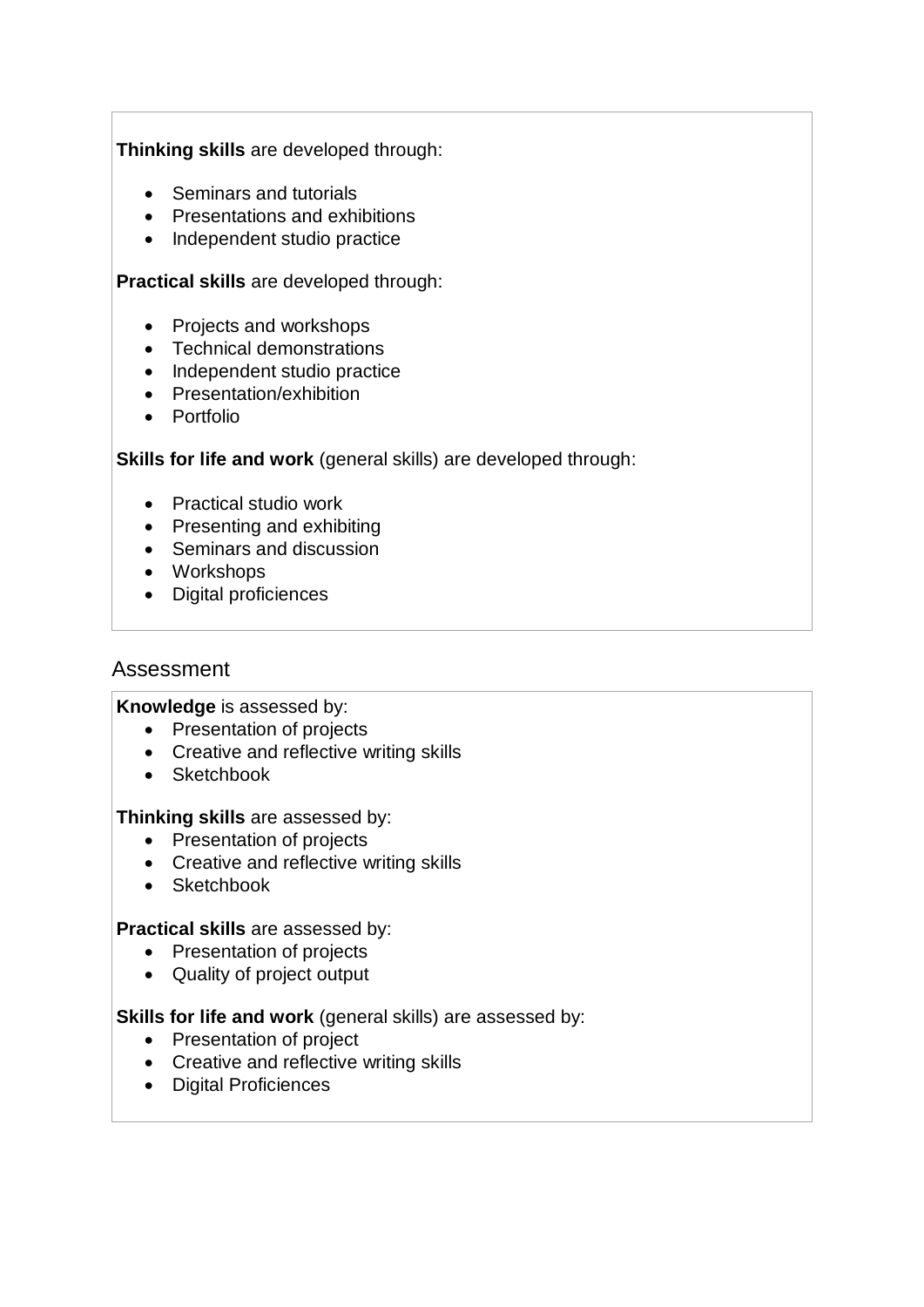## **Thinking skills** are developed through:

- Seminars and tutorials
- Presentations and exhibitions
- Independent studio practice

### **Practical skills** are developed through:

- Projects and workshops
- Technical demonstrations
- Independent studio practice
- Presentation/exhibition
- Portfolio

### **Skills for life and work** (general skills) are developed through:

- Practical studio work
- Presenting and exhibiting
- Seminars and discussion
- Workshops
- Digital proficiences

## Assessment

### **Knowledge** is assessed by:

- Presentation of projects
- Creative and reflective writing skills
- Sketchbook

### **Thinking skills** are assessed by:

- Presentation of projects
- Creative and reflective writing skills
- Sketchbook

### **Practical skills** are assessed by:

- Presentation of projects
- Quality of project output

### **Skills for life and work** (general skills) are assessed by:

- Presentation of project
- Creative and reflective writing skills
- Digital Proficiences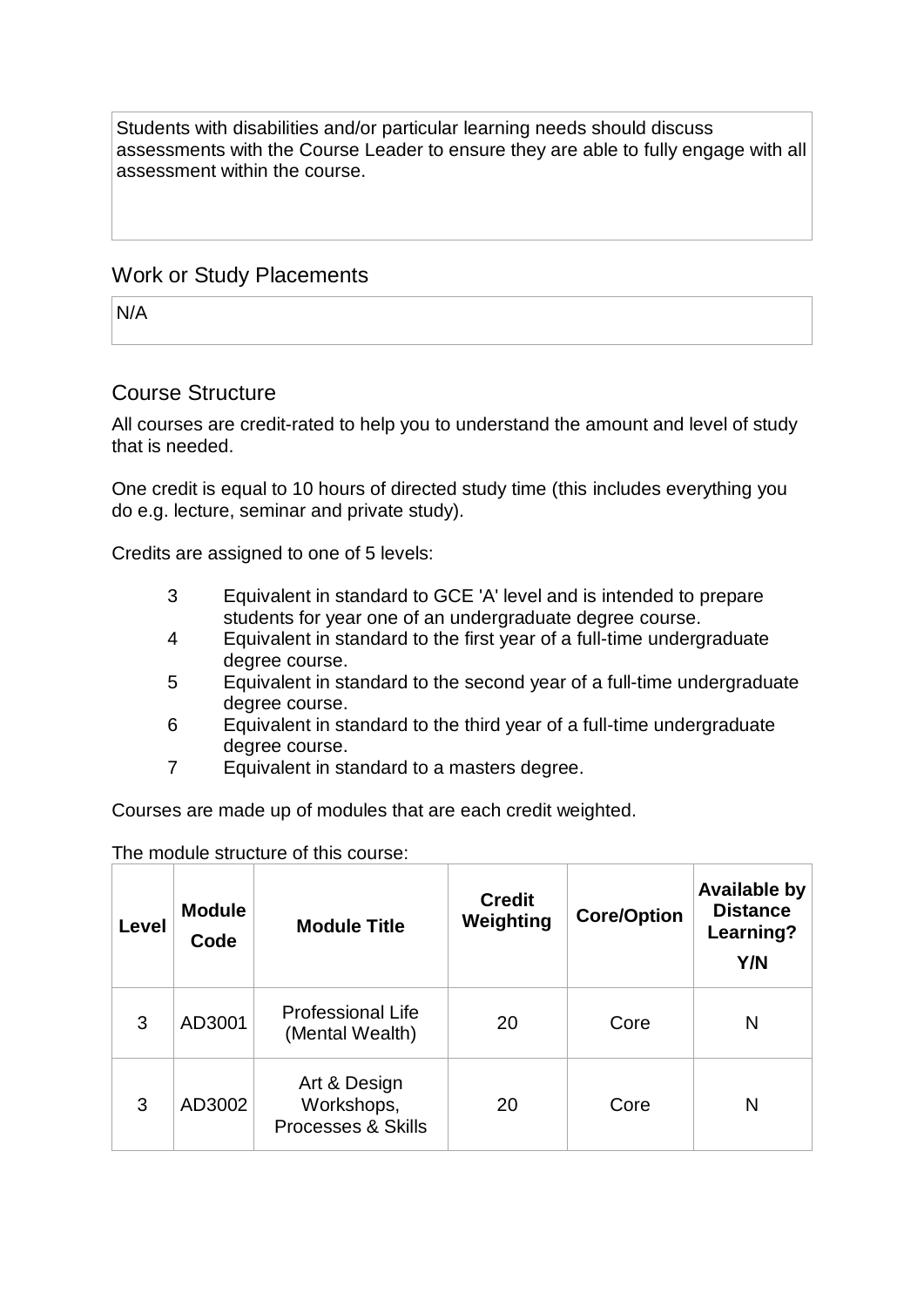Students with disabilities and/or particular learning needs should discuss assessments with the Course Leader to ensure they are able to fully engage with all assessment within the course.

## Work or Study Placements

N/A

## Course Structure

All courses are credit-rated to help you to understand the amount and level of study that is needed.

One credit is equal to 10 hours of directed study time (this includes everything you do e.g. lecture, seminar and private study).

Credits are assigned to one of 5 levels:

- 3 Equivalent in standard to GCE 'A' level and is intended to prepare students for year one of an undergraduate degree course.
- 4 Equivalent in standard to the first year of a full-time undergraduate degree course.
- 5 Equivalent in standard to the second year of a full-time undergraduate degree course.
- 6 Equivalent in standard to the third year of a full-time undergraduate degree course.
- 7 Equivalent in standard to a masters degree.

Courses are made up of modules that are each credit weighted.

The module structure of this course:

| Level | <b>Module</b><br>Code | <b>Module Title</b>                                         | <b>Credit</b><br>Weighting | <b>Core/Option</b> | <b>Available by</b><br><b>Distance</b><br>Learning?<br>Y/N |
|-------|-----------------------|-------------------------------------------------------------|----------------------------|--------------------|------------------------------------------------------------|
| 3     | AD3001                | <b>Professional Life</b><br>(Mental Wealth)                 | 20                         | Core               | N                                                          |
| 3     | AD3002                | Art & Design<br>Workshops,<br><b>Processes &amp; Skills</b> | 20                         | Core               | N                                                          |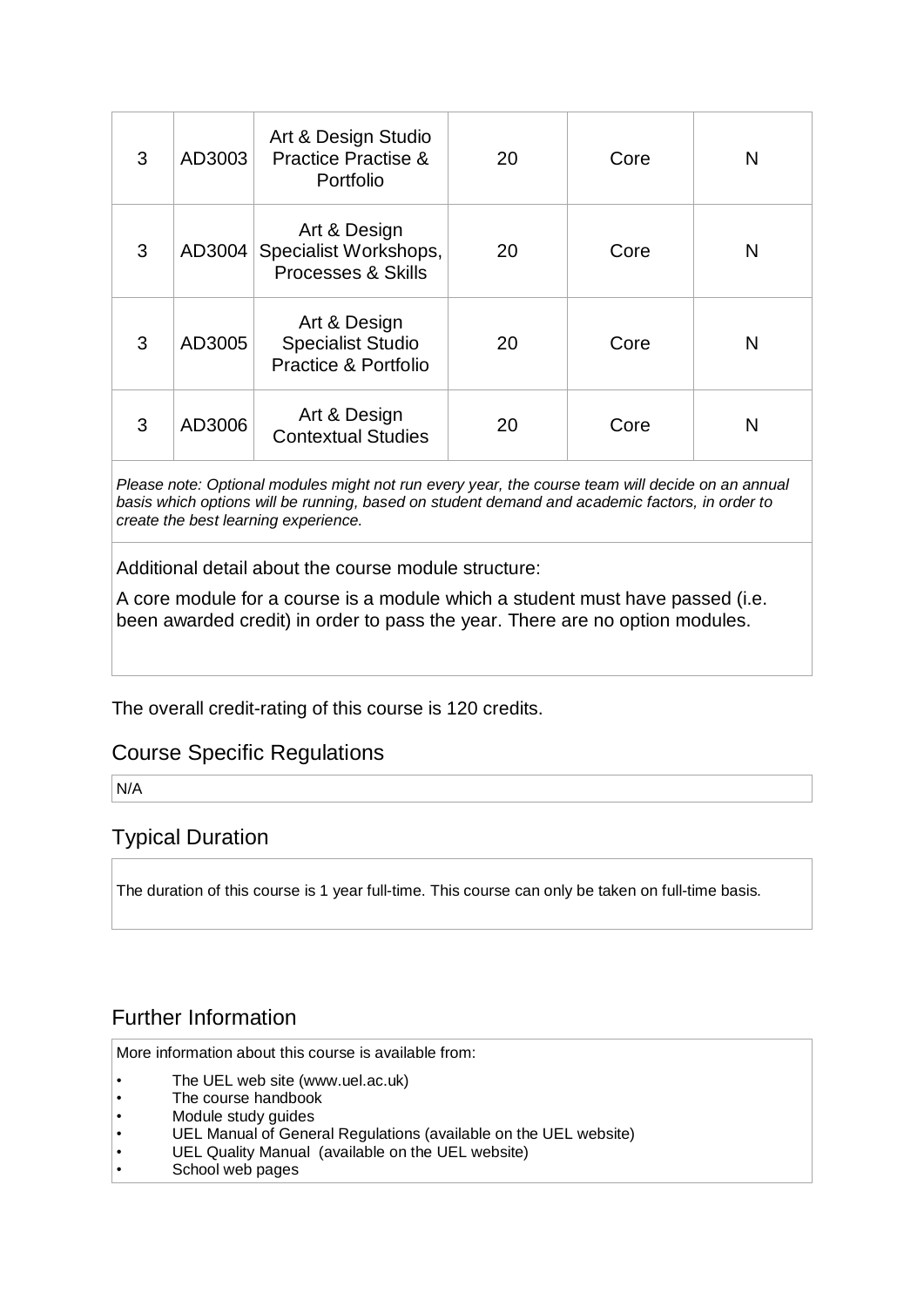| 3 | AD3003 | Art & Design Studio<br><b>Practice Practise &amp;</b><br>Portfolio     | 20 | Core | N |
|---|--------|------------------------------------------------------------------------|----|------|---|
| 3 | AD3004 | Art & Design<br>Specialist Workshops,<br><b>Processes &amp; Skills</b> | 20 | Core | N |
| 3 | AD3005 | Art & Design<br><b>Specialist Studio</b><br>Practice & Portfolio       | 20 | Core | N |
| 3 | AD3006 | Art & Design<br><b>Contextual Studies</b>                              | 20 | Core | N |

*Please note: Optional modules might not run every year, the course team will decide on an annual basis which options will be running, based on student demand and academic factors, in order to create the best learning experience.*

Additional detail about the course module structure:

A core module for a course is a module which a student must have passed (i.e. been awarded credit) in order to pass the year. There are no option modules.

The overall credit-rating of this course is 120 credits.

## Course Specific Regulations

N/A

## Typical Duration

The duration of this course is 1 year full-time. This course can only be taken on full-time basis.

# Further Information

More information about this course is available from:

- The UEL web site (www.uel.ac.uk)
- The course handbook
- Module study guides
- UEL Manual of General Regulations (available on the UEL website)<br>• UEL Quality Manual (available on the UEL website)
- UEL Quality Manual (available on the UEL website)
- School web pages